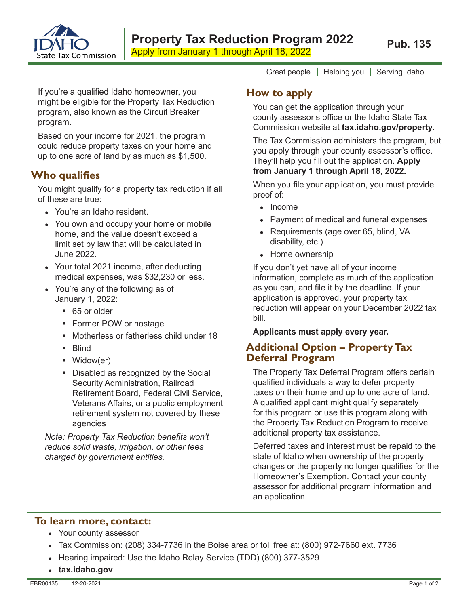

If you're a qualified Idaho homeowner, you might be eligible for the Property Tax Reduction program, also known as the Circuit Breaker program.

Based on your income for 2021, the program could reduce property taxes on your home and up to one acre of land by as much as \$1,500.

# **Who qualifies**

You might qualify for a property tax reduction if all of these are true:

- You're an Idaho resident.
- You own and occupy your home or mobile home, and the value doesn't exceed a limit set by law that will be calculated in June 2022.
- Your total 2021 income, after deducting medical expenses, was \$32,230 or less.
- You're any of the following as of January 1, 2022:
	- 65 or older
	- **Former POW or hostage**
	- Motherless or fatherless child under 18
	- **Blind**
	- Widow(er)
	- Disabled as recognized by the Social Security Administration, Railroad Retirement Board, Federal Civil Service, Veterans Affairs, or a public employment retirement system not covered by these agencies

*Note: Property Tax Reduction benefits won't reduce solid waste, irrigation, or other fees charged by government entities.*

Great people **|** Helping you **|** Serving Idaho

### **How to apply**

You can get the application through your county assessor's office or the Idaho State Tax Commission website at **tax.idaho.gov/property**.

The Tax Commission administers the program, but you apply through your county assessor's office. They'll help you fill out the application. **Apply from January 1 through April 18, 2022.**

When you file your application, you must provide proof of:

- Income
- Payment of medical and funeral expenses
- Requirements (age over 65, blind, VA disability, etc.)
- Home ownership

If you don't yet have all of your income information, complete as much of the application as you can, and file it by the deadline. If your application is approved, your property tax reduction will appear on your December 2022 tax bill.

**Applicants must apply every year.**

## **Additional Option – Property Tax Deferral Program**

The Property Tax Deferral Program offers certain qualified individuals a way to defer property taxes on their home and up to one acre of land. A qualified applicant might qualify separately for this program or use this program along with the Property Tax Reduction Program to receive additional property tax assistance.

Deferred taxes and interest must be repaid to the state of Idaho when ownership of the property changes or the property no longer qualifies for the Homeowner's Exemption. Contact your county assessor for additional program information and an application.

### **To learn more, contact:**

- Your county assessor
- Tax Commission:  $(208)$  334-7736 in the Boise area or toll free at:  $(800)$  972-7660 ext. 7736
- Hearing impaired: Use the Idaho Relay Service (TDD) (800) 377-3529
- **tax.idaho.gov**